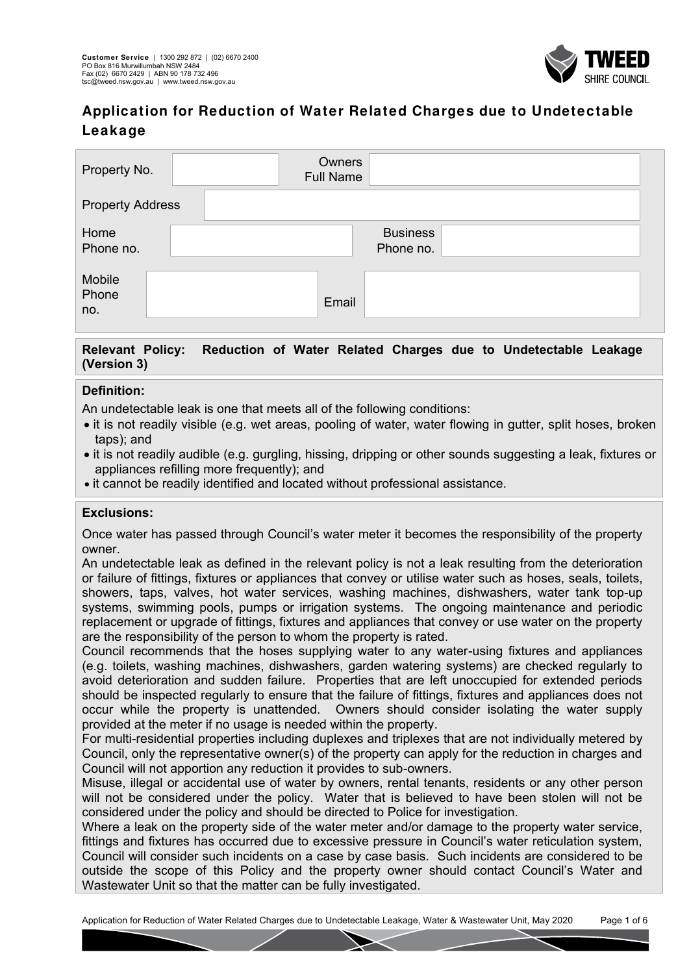

| Property No.            |  | Owners<br><b>Full Name</b> |                              |  |
|-------------------------|--|----------------------------|------------------------------|--|
| <b>Property Address</b> |  |                            |                              |  |
| Home<br>Phone no.       |  |                            | <b>Business</b><br>Phone no. |  |
| Mobile<br>Phone<br>no.  |  | Email                      |                              |  |

### **Relevant Policy: Reduction of Water Related Charges due to Undetectable Leakage (Version 3)**

### **Definition:**

An undetectable leak is one that meets all of the following conditions:

- it is not readily visible (e.g. wet areas, pooling of water, water flowing in gutter, split hoses, broken taps); and
- it is not readily audible (e.g. gurgling, hissing, dripping or other sounds suggesting a leak, fixtures or appliances refilling more frequently); and
- it cannot be readily identified and located without professional assistance.

#### **Exclusions:**

Once water has passed through Council's water meter it becomes the responsibility of the property owner.

An undetectable leak as defined in the relevant policy is not a leak resulting from the deterioration or failure of fittings, fixtures or appliances that convey or utilise water such as hoses, seals, toilets, showers, taps, valves, hot water services, washing machines, dishwashers, water tank top-up systems, swimming pools, pumps or irrigation systems. The ongoing maintenance and periodic replacement or upgrade of fittings, fixtures and appliances that convey or use water on the property are the responsibility of the person to whom the property is rated.

Council recommends that the hoses supplying water to any water-using fixtures and appliances (e.g. toilets, washing machines, dishwashers, garden watering systems) are checked regularly to avoid deterioration and sudden failure. Properties that are left unoccupied for extended periods should be inspected regularly to ensure that the failure of fittings, fixtures and appliances does not occur while the property is unattended. Owners should consider isolating the water supply provided at the meter if no usage is needed within the property.

For multi-residential properties including duplexes and triplexes that are not individually metered by Council, only the representative owner(s) of the property can apply for the reduction in charges and Council will not apportion any reduction it provides to sub-owners.

Misuse, illegal or accidental use of water by owners, rental tenants, residents or any other person will not be considered under the policy. Water that is believed to have been stolen will not be considered under the policy and should be directed to Police for investigation.

Where a leak on the property side of the water meter and/or damage to the property water service, fittings and fixtures has occurred due to excessive pressure in Council's water reticulation system, Council will consider such incidents on a case by case basis. Such incidents are considered to be outside the scope of this Policy and the property owner should contact Council's Water and Wastewater Unit so that the matter can be fully investigated.

Application for Reduction of Water Related Charges due to Undetectable Leakage, Water & Wastewater Unit, May 2020 Page 1 of 6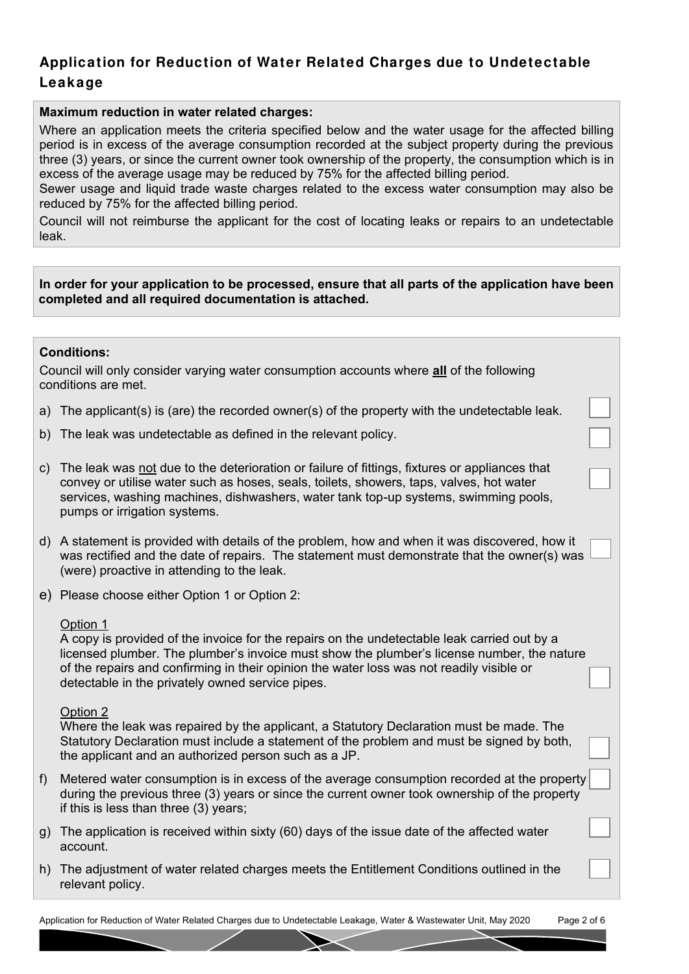#### **Maximum reduction in water related charges:**

Where an application meets the criteria specified below and the water usage for the affected billing period is in excess of the average consumption recorded at the subject property during the previous three (3) years, or since the current owner took ownership of the property, the consumption which is in excess of the average usage may be reduced by 75% for the affected billing period.

Sewer usage and liquid trade waste charges related to the excess water consumption may also be reduced by 75% for the affected billing period.

Council will not reimburse the applicant for the cost of locating leaks or repairs to an undetectable leak.

#### **In order for your application to be processed, ensure that all parts of the application have been completed and all required documentation is attached.**

#### **Conditions:**

Council will only consider varying water consumption accounts where **all** of the following conditions are met.

- a) The applicant(s) is (are) the recorded owner(s) of the property with the undetectable leak.
- b) The leak was undetectable as defined in the relevant policy.

| c) The leak was not due to the deterioration or failure of fittings, fixtures or appliances that |
|--------------------------------------------------------------------------------------------------|
| convey or utilise water such as hoses, seals, toilets, showers, taps, valves, hot water          |
| services, washing machines, dishwashers, water tank top-up systems, swimming pools,              |
| pumps or irrigation systems.                                                                     |

d) A statement is provided with details of the problem, how and when it was discovered, how it was rectified and the date of repairs. The statement must demonstrate that the owner(s) was (were) proactive in attending to the leak.

e) Please choose either Option 1 or Option 2:

#### Option 1

A copy is provided of the invoice for the repairs on the undetectable leak carried out by a licensed plumber. The plumber's invoice must show the plumber's license number, the nature of the repairs and confirming in their opinion the water loss was not readily visible or detectable in the privately owned service pipes.

#### Option 2

Where the leak was repaired by the applicant, a Statutory Declaration must be made. The Statutory Declaration must include a statement of the problem and must be signed by both, the applicant and an authorized person such as a JP.

- f) Metered water consumption is in excess of the average consumption recorded at the property during the previous three (3) years or since the current owner took ownership of the property if this is less than three (3) years;
- g) The application is received within sixty (60) days of the issue date of the affected water account.
- h) The adjustment of water related charges meets the Entitlement Conditions outlined in the relevant policy.

Application for Reduction of Water Related Charges due to Undetectable Leakage, Water & Wastewater Unit, May 2020 Page 2 of 6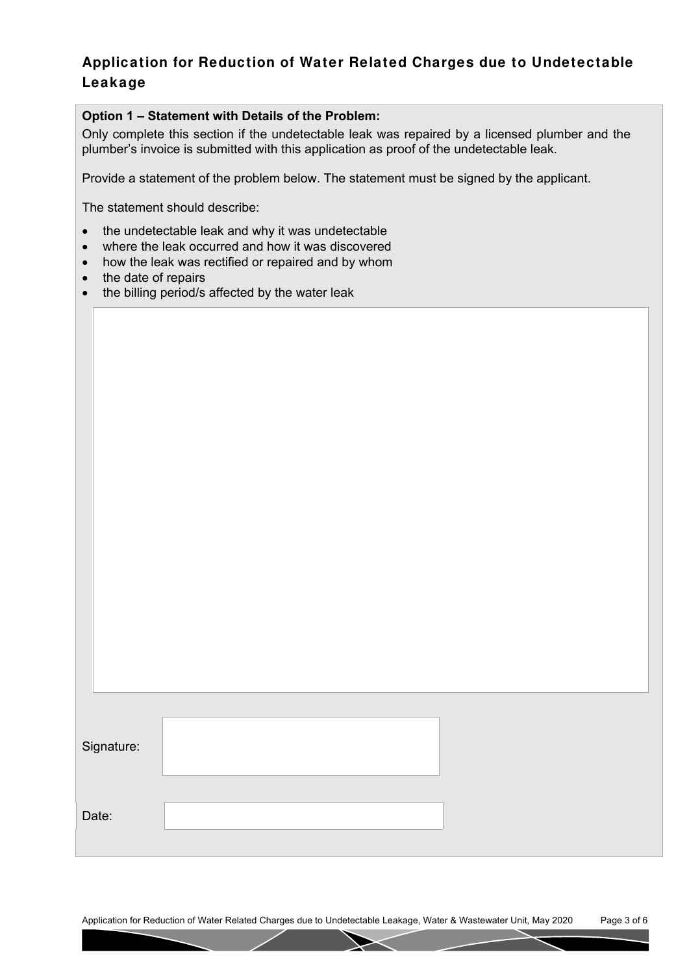### **Option 1 – Statement with Details of the Problem:**

Only complete this section if the undetectable leak was repaired by a licensed plumber and the plumber's invoice is submitted with this application as proof of the undetectable leak.

Provide a statement of the problem below. The statement must be signed by the applicant.

The statement should describe:

- the undetectable leak and why it was undetectable
- where the leak occurred and how it was discovered
- how the leak was rectified or repaired and by whom
- the date of repairs
- the billing period/s affected by the water leak

| Signature: |  |
|------------|--|
|            |  |
|            |  |
| Date:      |  |
|            |  |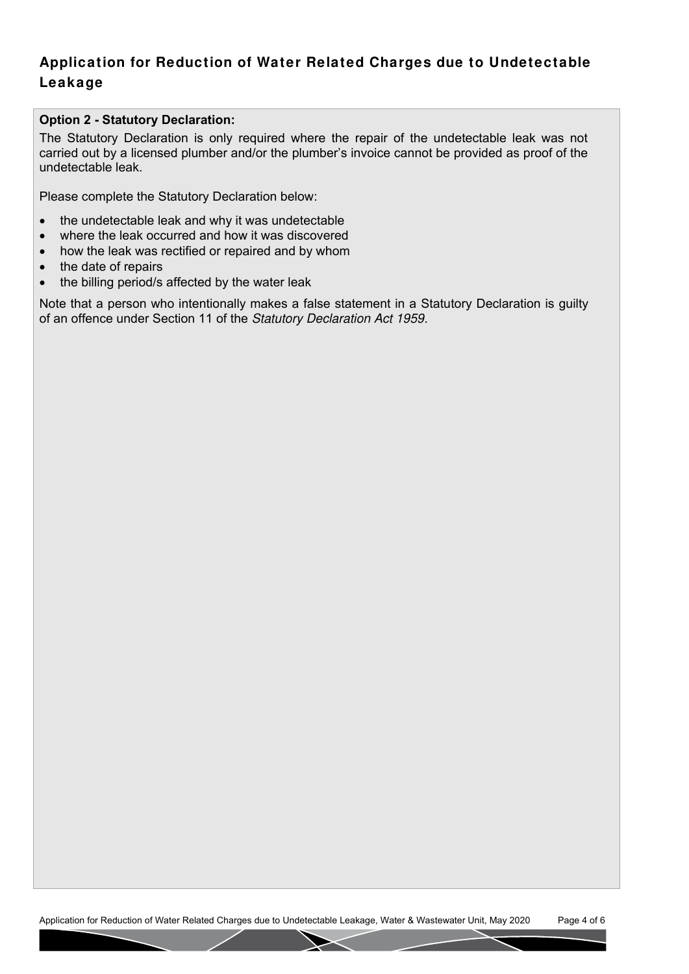### **Option 2 - Statutory Declaration:**

The Statutory Declaration is only required where the repair of the undetectable leak was not carried out by a licensed plumber and/or the plumber's invoice cannot be provided as proof of the undetectable leak.

Please complete the Statutory Declaration below:

- the undetectable leak and why it was undetectable
- where the leak occurred and how it was discovered
- how the leak was rectified or repaired and by whom
- the date of repairs
- the billing period/s affected by the water leak

Note that a person who intentionally makes a false statement in a Statutory Declaration is guilty of an offence under Section 11 of the Statutory Declaration Act 1959.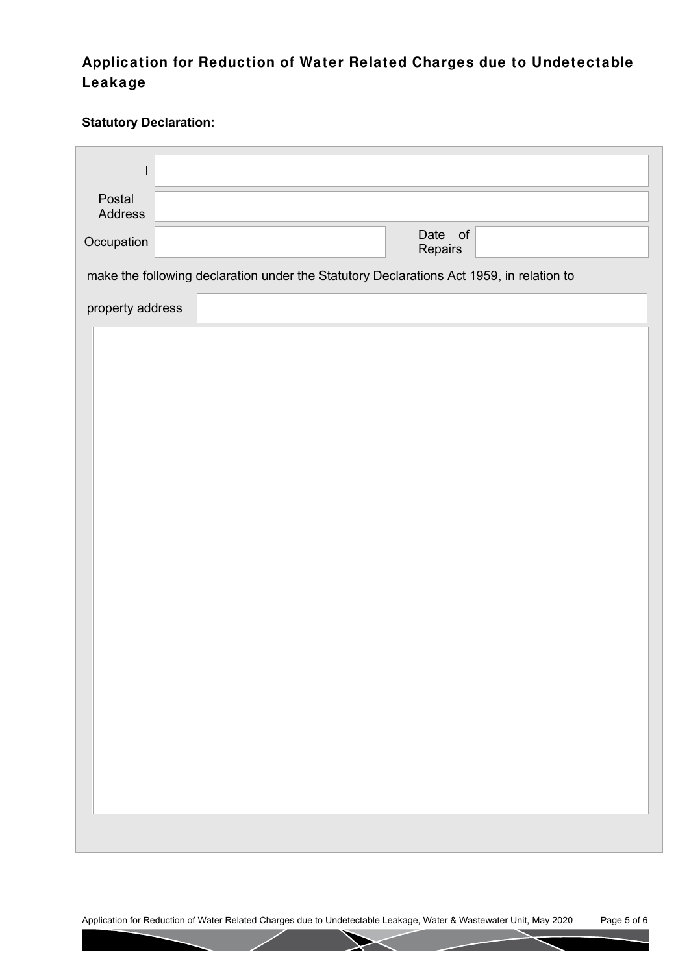### **Statutory Declaration:**

| L                 |                                                                                          |  |  |  |                    |  |  |  |
|-------------------|------------------------------------------------------------------------------------------|--|--|--|--------------------|--|--|--|
| Postal<br>Address |                                                                                          |  |  |  |                    |  |  |  |
| Occupation        |                                                                                          |  |  |  | Date of<br>Repairs |  |  |  |
|                   | make the following declaration under the Statutory Declarations Act 1959, in relation to |  |  |  |                    |  |  |  |
|                   | property address                                                                         |  |  |  |                    |  |  |  |
|                   |                                                                                          |  |  |  |                    |  |  |  |
|                   |                                                                                          |  |  |  |                    |  |  |  |
|                   |                                                                                          |  |  |  |                    |  |  |  |
|                   |                                                                                          |  |  |  |                    |  |  |  |
|                   |                                                                                          |  |  |  |                    |  |  |  |
|                   |                                                                                          |  |  |  |                    |  |  |  |
|                   |                                                                                          |  |  |  |                    |  |  |  |
|                   |                                                                                          |  |  |  |                    |  |  |  |
|                   |                                                                                          |  |  |  |                    |  |  |  |
|                   |                                                                                          |  |  |  |                    |  |  |  |
|                   |                                                                                          |  |  |  |                    |  |  |  |
|                   |                                                                                          |  |  |  |                    |  |  |  |
|                   |                                                                                          |  |  |  |                    |  |  |  |
|                   |                                                                                          |  |  |  |                    |  |  |  |
|                   |                                                                                          |  |  |  |                    |  |  |  |
|                   |                                                                                          |  |  |  |                    |  |  |  |
|                   |                                                                                          |  |  |  |                    |  |  |  |